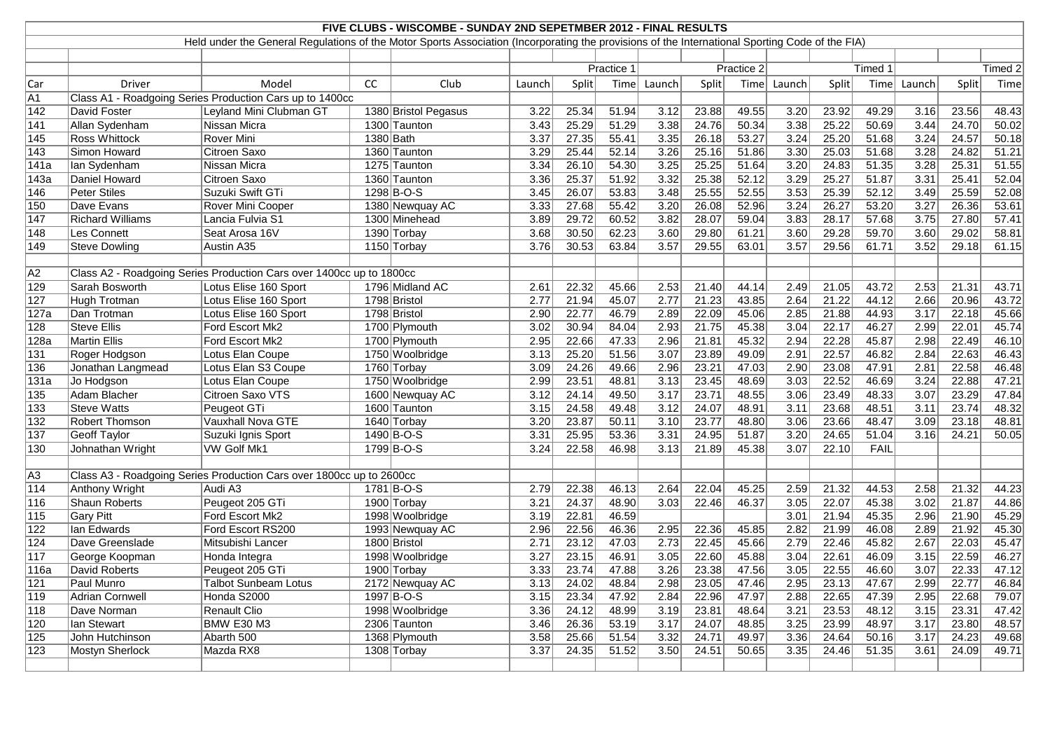| FIVE CLUBS - WISCOMBE - SUNDAY 2ND SEPETMBER 2012 - FINAL RESULTS<br>Held under the General Regulations of the Motor Sports Association (Incorporating the provisions of the International Sporting Code of the FIA) |                         |                                                                      |             |                      |        |       |            |        |       |                |        |                |         |        |              |         |
|----------------------------------------------------------------------------------------------------------------------------------------------------------------------------------------------------------------------|-------------------------|----------------------------------------------------------------------|-------------|----------------------|--------|-------|------------|--------|-------|----------------|--------|----------------|---------|--------|--------------|---------|
|                                                                                                                                                                                                                      |                         |                                                                      |             |                      |        |       |            |        |       |                |        |                |         |        |              |         |
|                                                                                                                                                                                                                      |                         |                                                                      |             |                      |        |       |            |        |       |                |        |                |         |        |              |         |
|                                                                                                                                                                                                                      |                         |                                                                      |             |                      |        |       | Practice 1 |        |       | Practice 2     |        |                | Timed 1 |        |              | Timed 2 |
| Car                                                                                                                                                                                                                  | <b>Driver</b>           | Model                                                                | CC          | Club                 | Launch | Split | Time       | Launch | Split | Time           | Launch | Split          | Time    | Launch | Split        | Time    |
| $\overline{A1}$                                                                                                                                                                                                      |                         | Class A1 - Roadgoing Series Production Cars up to 1400cc             |             |                      |        |       |            |        |       |                |        |                |         |        |              |         |
| 142                                                                                                                                                                                                                  | David Foster            | Leyland Mini Clubman GT                                              |             | 1380 Bristol Pegasus | 3.22   | 25.34 | 51.94      | 3.12   | 23.88 | 49.55          | 3.20   | 23.92          | 49.29   | 3.16   | 23.56        | 48.43   |
| 141                                                                                                                                                                                                                  | Allan Sydenham          | Nissan Micra                                                         |             | 1300 Taunton         | 3.43   | 25.29 | 51.29      | 3.38   | 24.76 | 50.34          | 3.38   | 25.22          | 50.69   | 3.44   | 24.70        | 50.02   |
| 145                                                                                                                                                                                                                  | <b>Ross Whittock</b>    | Rover Mini                                                           | $1380$ Bath |                      | 3.37   | 27.35 | 55.41      | 3.35   | 26.18 | 53.27          | 3.24   | 25.20          | 51.68   | 3.24   | 24.57        | 50.18   |
| 143                                                                                                                                                                                                                  | Simon Howard            | Citroen Saxo                                                         |             | 1360 Taunton         | 3.29   | 25.44 | 52.14      | 3.26   | 25.16 | 51.86          | 3.30   | 25.03          | 51.68   | 3.28   | 24.82        | 51.21   |
| 141a                                                                                                                                                                                                                 | lan Sydenham            | Nissan Micra                                                         |             | 1275 Taunton         | 3.34   | 26.10 | 54.30      | 3.25   | 25.25 | 51.64          | 3.20   | 24.83          | 51.35   | 3.28   | 25.31        | 51.55   |
| 143a                                                                                                                                                                                                                 | Daniel Howard           | Citroen Saxo                                                         |             | 1360 Taunton         | 3.36   | 25.37 | 51.92      | 3.32   | 25.38 | 52.12          | 3.29   | 25.27          | 51.87   | 3.31   | 25.41        | 52.04   |
| 146                                                                                                                                                                                                                  | <b>Peter Stiles</b>     | Suzuki Swift GTi                                                     |             | 1298 B-O-S           | 3.45   | 26.07 | 53.83      | 3.48   | 25.55 | 52.55          | 3.53   | 25.39          | 52.12   | 3.49   | 25.59        | 52.08   |
| 150                                                                                                                                                                                                                  | Dave Evans              | Rover Mini Cooper                                                    |             | 1380 Newquay AC      | 3.33   | 27.68 | 55.42      | 3.20   | 26.08 | 52.96          | 3.24   | 26.27          | 53.20   | 3.27   | 26.36        | 53.61   |
| 147                                                                                                                                                                                                                  | <b>Richard Williams</b> | Lancia Fulvia S1                                                     |             | 1300 Minehead        | 3.89   | 29.72 | 60.52      | 3.82   | 28.07 | 59.04          | 3.83   | 28.17          | 57.68   | 3.75   | 27.80        | 57.41   |
| 148                                                                                                                                                                                                                  | Les Connett             | Seat Arosa 16V                                                       |             | 1390 Torbay          | 3.68   | 30.50 | 62.23      | 3.60   | 29.80 | 61.21          | 3.60   | 29.28          | 59.70   | 3.60   | 29.02        | 58.81   |
| 149                                                                                                                                                                                                                  | <b>Steve Dowling</b>    | Austin A35                                                           |             | 1150 Torbay          | 3.76   | 30.53 | 63.84      | 3.57   | 29.55 | 63.01          | 3.57   | 29.56          | 61.71   | 3.52   | 29.18        | 61.15   |
|                                                                                                                                                                                                                      |                         |                                                                      |             |                      |        |       |            |        |       |                |        |                |         |        |              |         |
| A2                                                                                                                                                                                                                   |                         | Class A2 - Roadgoing Series Production Cars over 1400cc up to 1800cc |             |                      |        |       |            |        |       |                |        |                |         |        |              |         |
| 129                                                                                                                                                                                                                  | Sarah Bosworth          | Lotus Elise 160 Sport                                                |             | 1796 Midland AC      | 2.61   | 22.32 | 45.66      | 2.53   | 21.40 | 44.14          | 2.49   | 21.05          | 43.72   | 2.53   | 21.31        | 43.71   |
| 127                                                                                                                                                                                                                  | Hugh Trotman            | Lotus Elise 160 Sport                                                |             | 1798 Bristol         | 2.77   | 21.94 | 45.07      | 2.77   | 21.23 | 43.85          | 2.64   | 21.22          | 44.12   | 2.66   | 20.96        | 43.72   |
| 127a                                                                                                                                                                                                                 | Dan Trotman             | Lotus Elise 160 Sport                                                |             | 1798 Bristol         | 2.90   | 22.77 | 46.79      | 2.89   | 22.09 | 45.06          | 2.85   | 21.88          | 44.93   | 3.17   | 22.18        | 45.66   |
| 128                                                                                                                                                                                                                  | <b>Steve Ellis</b>      | Ford Escort Mk2                                                      |             | 1700 Plymouth        | 3.02   | 30.94 | 84.04      | 2.93   | 21.75 | 45.38          | 3.04   | 22.17          | 46.27   | 2.99   | 22.01        | 45.74   |
| 128a                                                                                                                                                                                                                 | <b>Martin Ellis</b>     | Ford Escort Mk2                                                      |             | 1700 Plymouth        | 2.95   | 22.66 | 47.33      | 2.96   | 21.81 | 45.32          | 2.94   | 22.28          | 45.87   | 2.98   | 22.49        | 46.10   |
| 131                                                                                                                                                                                                                  | Roger Hodgson           | Lotus Elan Coupe                                                     |             | 1750 Woolbridge      | 3.13   | 25.20 | 51.56      | 3.07   | 23.89 | 49.09          | 2.91   | 22.57          | 46.82   | 2.84   | 22.63        | 46.43   |
| 136                                                                                                                                                                                                                  | Jonathan Langmead       | Lotus Elan S3 Coupe                                                  |             | 1760 Torbay          | 3.09   | 24.26 | 49.66      | 2.96   | 23.21 | 47.03          | 2.90   | 23.08          | 47.91   | 2.81   | 22.58        | 46.48   |
| 131a                                                                                                                                                                                                                 | Jo Hodgson              | Lotus Elan Coupe                                                     |             | 1750 Woolbridge      | 2.99   | 23.51 | 48.81      | 3.13   | 23.45 | 48.69          | 3.03   | 22.52          | 46.69   | 3.24   | 22.88        | 47.21   |
| 135                                                                                                                                                                                                                  | Adam Blacher            | Citroen Saxo VTS                                                     |             | 1600 Newquay AC      | 3.12   | 24.14 | 49.50      | 3.17   | 23.71 | 48.55          | 3.06   | 23.49          | 48.33   | 3.07   | 23.29        | 47.84   |
| 133                                                                                                                                                                                                                  | <b>Steve Watts</b>      | Peugeot GTi                                                          |             | 1600 Taunton         | 3.15   | 24.58 | 49.48      | 3.12   | 24.07 | 48.91          | 3.11   | 23.68          | 48.51   | 3.11   | 23.74        | 48.32   |
| 132                                                                                                                                                                                                                  | Robert Thomson          | Vauxhall Nova GTE                                                    |             | 1640 Torbay          | 3.20   | 23.87 | 50.11      | 3.10   | 23.77 | 48.80          | 3.06   | 23.66          | 48.47   | 3.09   | 23.18        | 48.81   |
| 137                                                                                                                                                                                                                  | Geoff Taylor            | Suzuki Ignis Sport                                                   |             | 1490 B-O-S           | 3.31   | 25.95 | 53.36      | 3.31   | 24.95 | 51.87          | 3.20   | 24.65          | 51.04   | 3.16   | 24.21        | 50.05   |
| 130                                                                                                                                                                                                                  | Johnathan Wright        | VW Golf Mk1                                                          |             | 1799 B-O-S           | 3.24   | 22.58 | 46.98      | 3.13   | 21.89 | 45.38          | 3.07   | 22.10          | FAIL    |        |              |         |
|                                                                                                                                                                                                                      |                         |                                                                      |             |                      |        |       |            |        |       |                |        |                |         |        |              |         |
| A3                                                                                                                                                                                                                   |                         | Class A3 - Roadgoing Series Production Cars over 1800cc up to 2600cc |             |                      |        |       |            |        |       |                |        |                |         |        |              |         |
| $\overline{114}$                                                                                                                                                                                                     | Anthony Wright          | Audi A3                                                              |             | $1781$ B-O-S         | 2.79   | 22.38 | 46.13      | 2.64   | 22.04 | 45.25          | 2.59   | 21.32          | 44.53   | 2.58   | 21.32        | 44.23   |
| $\overline{116}$                                                                                                                                                                                                     | <b>Shaun Roberts</b>    | Peugeot 205 GTi                                                      |             | 1900 Torbay          | $3.21$ | 24.37 | 48.90      | 3.03   | 22.46 | 46.37          | 3.05   | 22.07          | 45.38   |        | $3.02$ 21.87 | 44.86   |
| 115                                                                                                                                                                                                                  | <b>Gary Pitt</b>        | Ford Escort Mk2                                                      |             | 1998 Woolbridge      | 3.19   | 22.81 | 46.59      |        |       |                | 3.01   | 21.94          | 45.35   | 2.96   | 21.90        | 45.29   |
| 122                                                                                                                                                                                                                  | lan Edwards             | Ford Escort RS200                                                    |             | 1993 Newquay AC      | 2.96   | 22.56 | 46.36      | 2.95   | 22.36 | 45.85          | 2.82   | 21.99          | 46.08   | 2.89   | 21.92        | 45.30   |
| 124                                                                                                                                                                                                                  | Dave Greenslade         | Mitsubishi Lancer                                                    |             | 1800 Bristol         | 2.71   | 23.12 | 47.03      | 2.73   | 22.45 | 45.66          | 2.79   | 22.46          | 45.82   | 2.67   | 22.03        | 45.47   |
| 117                                                                                                                                                                                                                  | George Koopman          | Honda Integra                                                        |             | 1998 Woolbridge      | 3.27   | 23.15 | 46.91      | 3.05   | 22.60 | 45.88          | 3.04   | 22.61          | 46.09   | 3.15   | 22.59        | 46.27   |
| 116a                                                                                                                                                                                                                 | David Roberts           | Peugeot 205 GTi                                                      |             | 1900 Torbay          | 3.33   | 23.74 | 47.88      | 3.26   | 23.38 | 47.56          | 3.05   | 22.55          | 46.60   | 3.07   | 22.33        | 47.12   |
|                                                                                                                                                                                                                      | Paul Munro              | <b>Talbot Sunbeam Lotus</b>                                          |             | 2172 Newquay AC      | 3.13   | 24.02 | 48.84      | 2.98   | 23.05 |                | 2.95   |                | 47.67   | 2.99   | 22.77        | 46.84   |
| 121<br>119                                                                                                                                                                                                           | Adrian Cornwell         | Honda S2000                                                          |             | 1997 B-O-S           | 3.15   | 23.34 | 47.92      | 2.84   | 22.96 | 47.46<br>47.97 | 2.88   | 23.13<br>22.65 | 47.39   | 2.95   | 22.68        | 79.07   |
|                                                                                                                                                                                                                      |                         |                                                                      |             |                      |        |       |            |        |       |                |        |                |         |        |              |         |
| 118                                                                                                                                                                                                                  | Dave Norman             | <b>Renault Clio</b>                                                  |             | 1998 Woolbridge      | 3.36   | 24.12 | 48.99      | 3.19   | 23.81 | 48.64          | 3.21   | 23.53          | 48.12   | 3.15   | 23.31        | 47.42   |
| 120                                                                                                                                                                                                                  | lan Stewart             | <b>BMW E30 M3</b>                                                    |             | 2306 Taunton         | 3.46   | 26.36 | 53.19      | 3.17   | 24.07 | 48.85          | 3.25   | 23.99          | 48.97   | 3.17   | 23.80        | 48.57   |
| 125                                                                                                                                                                                                                  | John Hutchinson         | Abarth 500                                                           |             | 1368 Plymouth        | 3.58   | 25.66 | 51.54      | 3.32   | 24.71 | 49.97          | 3.36   | 24.64          | 50.16   | 3.17   | 24.23        | 49.68   |
| $\overline{123}$                                                                                                                                                                                                     | Mostyn Sherlock         | Mazda RX8                                                            |             | 1308 Torbay          | 3.37   | 24.35 | 51.52      | 3.50   | 24.51 | 50.65          | 3.35   | 24.46          | 51.35   | 3.61   | 24.09        | 49.71   |
|                                                                                                                                                                                                                      |                         |                                                                      |             |                      |        |       |            |        |       |                |        |                |         |        |              |         |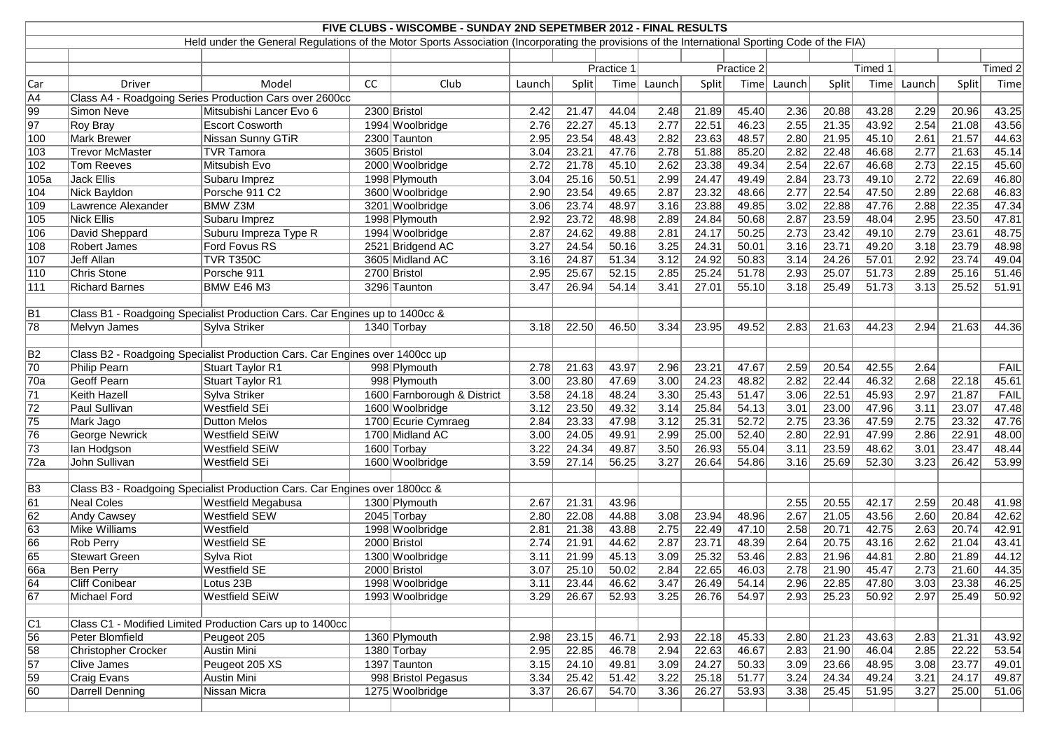| FIVE CLUBS - WISCOMBE - SUNDAY 2ND SEPETMBER 2012 - FINAL RESULTS<br>Held under the General Regulations of the Motor Sports Association (Incorporating the provisions of the International Sporting Code of the FIA) |                                                                             |                                                                             |    |                             |            |       |       |            |       |       |        |       |         |        |         |             |
|----------------------------------------------------------------------------------------------------------------------------------------------------------------------------------------------------------------------|-----------------------------------------------------------------------------|-----------------------------------------------------------------------------|----|-----------------------------|------------|-------|-------|------------|-------|-------|--------|-------|---------|--------|---------|-------------|
|                                                                                                                                                                                                                      |                                                                             |                                                                             |    |                             |            |       |       |            |       |       |        |       |         |        |         |             |
|                                                                                                                                                                                                                      |                                                                             |                                                                             |    |                             |            |       |       |            |       |       |        |       |         |        |         |             |
|                                                                                                                                                                                                                      |                                                                             |                                                                             |    |                             | Practice 1 |       |       | Practice 2 |       |       |        |       | Timed 1 |        | Timed 2 |             |
| Car                                                                                                                                                                                                                  | Driver                                                                      | Model                                                                       | CC | Club                        | Launch     | Split | Time  | Launch     | Split | Time  | Launch | Split | Time    | Launch | Split   | Time        |
| $\overline{A4}$                                                                                                                                                                                                      |                                                                             | Class A4 - Roadgoing Series Production Cars over 2600cc                     |    |                             |            |       |       |            |       |       |        |       |         |        |         |             |
| $\overline{99}$                                                                                                                                                                                                      | Simon Neve                                                                  | Mitsubishi Lancer Evo 6                                                     |    | 2300 Bristol                | 2.42       | 21.47 | 44.04 | 2.48       | 21.89 | 45.40 | 2.36   | 20.88 | 43.28   | 2.29   | 20.96   | 43.25       |
| 97                                                                                                                                                                                                                   | Roy Bray                                                                    | <b>Escort Cosworth</b>                                                      |    | 1994 Woolbridge             | 2.76       | 22.27 | 45.13 | 2.77       | 22.51 | 46.23 | 2.55   | 21.35 | 43.92   | 2.54   | 21.08   | 43.56       |
| 100                                                                                                                                                                                                                  | <b>Mark Brewer</b>                                                          | <b>Nissan Sunny GTiR</b>                                                    |    | 2300 Taunton                | 2.95       | 23.54 | 48.43 | 2.82       | 23.63 | 48.57 | 2.80   | 21.95 | 45.10   | 2.61   | 21.57   | 44.63       |
| 103                                                                                                                                                                                                                  | <b>Trevor McMaster</b>                                                      | <b>TVR Tamora</b>                                                           |    | 3605 Bristol                | 3.04       | 23.21 | 47.76 | 2.78       | 51.88 | 85.20 | 2.82   | 22.48 | 46.68   | 2.77   | 21.63   | 45.14       |
| 102                                                                                                                                                                                                                  | Tom Reeves                                                                  | Mitsubish Evo                                                               |    | 2000 Woolbridge             | 2.72       | 21.78 | 45.10 | 2.62       | 23.38 | 49.34 | 2.54   | 22.67 | 46.68   | 2.73   | 22.15   | 45.60       |
| 105a                                                                                                                                                                                                                 | <b>Jack Ellis</b>                                                           | Subaru Imprez                                                               |    | 1998 Plymouth               | 3.04       | 25.16 | 50.51 | 2.99       | 24.47 | 49.49 | 2.84   | 23.73 | 49.10   | 2.72   | 22.69   | 46.80       |
| 104                                                                                                                                                                                                                  | Nick Bayldon                                                                | Porsche 911 C2                                                              |    | 3600 Woolbridge             | 2.90       | 23.54 | 49.65 | 2.87       | 23.32 | 48.66 | 2.77   | 22.54 | 47.50   | 2.89   | 22.68   | 46.83       |
| $\overline{109}$                                                                                                                                                                                                     | Lawrence Alexander                                                          | <b>BMW Z3M</b>                                                              |    | 3201 Woolbridge             | 3.06       | 23.74 | 48.97 | 3.16       | 23.88 | 49.85 | 3.02   | 22.88 | 47.76   | 2.88   | 22.35   | 47.34       |
| 105                                                                                                                                                                                                                  | <b>Nick Ellis</b>                                                           | Subaru Imprez                                                               |    | 1998 Plymouth               | 2.92       | 23.72 | 48.98 | 2.89       | 24.84 | 50.68 | 2.87   | 23.59 | 48.04   | 2.95   | 23.50   | 47.81       |
| 106                                                                                                                                                                                                                  | David Sheppard                                                              | Suburu Impreza Type R                                                       |    | 1994 Woolbridge             | 2.87       | 24.62 | 49.88 | 2.81       | 24.17 | 50.25 | 2.73   | 23.42 | 49.10   | 2.79   | 23.61   | 48.75       |
| 108                                                                                                                                                                                                                  | <b>Robert James</b>                                                         | Ford Fovus RS                                                               |    | 2521 Bridgend AC            | 3.27       | 24.54 | 50.16 | 3.25       | 24.31 | 50.01 | 3.16   | 23.71 | 49.20   | 3.18   | 23.79   | 48.98       |
| 107                                                                                                                                                                                                                  | Jeff Allan                                                                  | <b>TVR T350C</b>                                                            |    | 3605 Midland AC             | 3.16       | 24.87 | 51.34 | 3.12       | 24.92 | 50.83 | 3.14   | 24.26 | 57.01   | 2.92   | 23.74   | 49.04       |
| 110                                                                                                                                                                                                                  | <b>Chris Stone</b>                                                          | Porsche 911                                                                 |    | 2700 Bristol                | 2.95       | 25.67 | 52.15 | 2.85       | 25.24 | 51.78 | 2.93   | 25.07 | 51.73   | 2.89   | 25.16   | 51.46       |
| 111                                                                                                                                                                                                                  | <b>Richard Barnes</b>                                                       | <b>BMW E46 M3</b>                                                           |    | 3296 Taunton                | 3.47       | 26.94 | 54.14 | 3.41       | 27.01 | 55.10 | 3.18   | 25.49 | 51.73   | 3.13   | 25.52   | 51.91       |
|                                                                                                                                                                                                                      |                                                                             |                                                                             |    |                             |            |       |       |            |       |       |        |       |         |        |         |             |
| B1                                                                                                                                                                                                                   |                                                                             | Class B1 - Roadgoing Specialist Production Cars. Car Engines up to 1400cc & |    |                             |            |       |       |            |       |       |        |       |         |        |         |             |
| 78                                                                                                                                                                                                                   | Melvyn James                                                                | Sylva Striker                                                               |    | 1340 Torbay                 | 3.18       | 22.50 | 46.50 | 3.34       | 23.95 | 49.52 | 2.83   | 21.63 | 44.23   | 2.94   | 21.63   | 44.36       |
| B2                                                                                                                                                                                                                   | Class B2 - Roadgoing Specialist Production Cars. Car Engines over 1400cc up |                                                                             |    |                             |            |       |       |            |       |       |        |       |         |        |         |             |
| 70                                                                                                                                                                                                                   | Philip Pearn                                                                | <b>Stuart Taylor R1</b>                                                     |    | 998 Plymouth                | 2.78       | 21.63 | 43.97 | 2.96       | 23.21 | 47.67 | 2.59   | 20.54 | 42.55   | 2.64   |         | <b>FAIL</b> |
| 70a                                                                                                                                                                                                                  | <b>Geoff Pearn</b>                                                          | <b>Stuart Taylor R1</b>                                                     |    | 998 Plymouth                | 3.00       | 23.80 | 47.69 | 3.00       | 24.23 | 48.82 | 2.82   | 22.44 | 46.32   | 2.68   | 22.18   | 45.61       |
| $\overline{71}$                                                                                                                                                                                                      | Keith Hazell                                                                | Sylva Striker                                                               |    | 1600 Farnborough & District | 3.58       | 24.18 | 48.24 | 3.30       | 25.43 | 51.47 | 3.06   | 22.51 | 45.93   | 2.97   | 21.87   | <b>FAIL</b> |
| $\overline{72}$                                                                                                                                                                                                      | Paul Sullivan                                                               | Westfield SEi                                                               |    | 1600 Woolbridge             | 3.12       | 23.50 | 49.32 | 3.14       | 25.84 | 54.13 | 3.01   | 23.00 | 47.96   | 3.11   | 23.07   | 47.48       |
| 75                                                                                                                                                                                                                   | Mark Jago                                                                   | <b>Dutton Melos</b>                                                         |    | 1700 Ecurie Cymraeg         | 2.84       | 23.33 | 47.98 | 3.12       | 25.31 | 52.72 | 2.75   | 23.36 | 47.59   | 2.75   | 23.32   | 47.76       |
| 76                                                                                                                                                                                                                   | <b>George Newrick</b>                                                       | <b>Westfield SEiW</b>                                                       |    | 1700 Midland AC             | 3.00       | 24.05 | 49.91 | 2.99       | 25.00 | 52.40 | 2.80   | 22.91 | 47.99   | 2.86   | 22.91   | 48.00       |
| 73                                                                                                                                                                                                                   | lan Hodgson                                                                 | <b>Westfield SEiW</b>                                                       |    | 1600 Torbay                 | 3.22       | 24.34 | 49.87 | 3.50       | 26.93 | 55.04 | 3.11   | 23.59 | 48.62   | 3.01   | 23.47   | 48.44       |
| 72a                                                                                                                                                                                                                  | John Sullivan                                                               | Westfield SEi                                                               |    | 1600 Woolbridge             | 3.59       | 27.14 | 56.25 | 3.27       | 26.64 | 54.86 | 3.16   | 25.69 | 52.30   | 3.23   | 26.42   | 53.99       |
|                                                                                                                                                                                                                      |                                                                             |                                                                             |    |                             |            |       |       |            |       |       |        |       |         |        |         |             |
| $\overline{B3}$                                                                                                                                                                                                      |                                                                             | Class B3 - Roadgoing Specialist Production Cars. Car Engines over 1800cc &  |    |                             |            |       |       |            |       |       |        |       |         |        |         |             |
| $\overline{61}$                                                                                                                                                                                                      | Neal Coles                                                                  | Westfield Megabusa                                                          |    | 1300 Plymouth               | 2.67       | 21.31 | 43.96 |            |       |       | 2.55   | 20.55 | 42.17   | 2.59   | 20.48   | 41.98       |
| $\overline{62}$                                                                                                                                                                                                      | Andy Cawsey                                                                 | Westfield SEW                                                               |    | $2045$ Torbay               | 2.80       | 22.08 | 44.88 | 3.08       | 23.94 | 48.96 | 2.67   | 21.05 | 43.56   | 2.60   | 20.84   | 42.62       |
| 63                                                                                                                                                                                                                   | Mike Williams                                                               | Westfield                                                                   |    | 1998 Woolbridge             | 2.81       | 21.38 | 43.88 | 2.75       | 22.49 | 47.10 | 2.58   | 20.71 | 42.75   | 2.63   | 20.74   | 42.91       |
| 66                                                                                                                                                                                                                   | Rob Perry                                                                   | Westfield SE                                                                |    | 2000 Bristol                | 2.74       | 21.91 | 44.62 | 2.87       | 23.71 | 48.39 | 2.64   | 20.75 | 43.16   | 2.62   | 21.04   | 43.41       |
| 65                                                                                                                                                                                                                   | <b>Stewart Green</b>                                                        | Sylva Riot                                                                  |    | 1300 Woolbridge             | 3.11       | 21.99 | 45.13 | 3.09       | 25.32 | 53.46 | 2.83   | 21.96 | 44.81   | 2.80   | 21.89   | 44.12       |
| 66a                                                                                                                                                                                                                  | Ben Perry                                                                   | Westfield SE                                                                |    | 2000 Bristol                | 3.07       | 25.10 | 50.02 | 2.84       | 22.65 | 46.03 | 2.78   | 21.90 | 45.47   | 2.73   | 21.60   | 44.35       |
| 64                                                                                                                                                                                                                   | <b>Cliff Conibear</b>                                                       | Lotus 23B                                                                   |    | 1998 Woolbridge             | 3.11       | 23.44 | 46.62 | 3.47       | 26.49 | 54.14 | 2.96   | 22.85 | 47.80   | 3.03   | 23.38   | 46.25       |
| $\overline{67}$                                                                                                                                                                                                      | Michael Ford                                                                | <b>Westfield SEiW</b>                                                       |    | 1993 Woolbridge             | 3.29       | 26.67 | 52.93 | 3.25       | 26.76 | 54.97 | 2.93   | 25.23 | 50.92   | 2.97   | 25.49   | 50.92       |
| C1                                                                                                                                                                                                                   |                                                                             | Class C1 - Modified Limited Production Cars up to 1400cc                    |    |                             |            |       |       |            |       |       |        |       |         |        |         |             |
| 56                                                                                                                                                                                                                   | Peter Blomfield                                                             | Peugeot 205                                                                 |    | 1360 Plymouth               | 2.98       | 23.15 | 46.71 | 2.93       | 22.18 | 45.33 | 2.80   | 21.23 | 43.63   | 2.83   | 21.31   | 43.92       |
| 58                                                                                                                                                                                                                   | <b>Christopher Crocker</b>                                                  | <b>Austin Mini</b>                                                          |    | 1380 Torbay                 | 2.95       | 22.85 | 46.78 | 2.94       | 22.63 | 46.67 | 2.83   | 21.90 | 46.04   | 2.85   | 22.22   | 53.54       |
| 57                                                                                                                                                                                                                   | Clive James                                                                 | Peugeot 205 XS                                                              |    | 1397 Taunton                | 3.15       | 24.10 | 49.81 | 3.09       | 24.27 | 50.33 | 3.09   | 23.66 | 48.95   | 3.08   | 23.77   | 49.01       |
| 59                                                                                                                                                                                                                   | Craig Evans                                                                 | Austin Mini                                                                 |    | 998 Bristol Pegasus         | 3.34       | 25.42 | 51.42 | 3.22       | 25.18 | 51.77 | 3.24   | 24.34 | 49.24   | 3.21   | 24.17   | 49.87       |
| 60                                                                                                                                                                                                                   | Darrell Denning                                                             | Nissan Micra                                                                |    | 1275 Woolbridge             | 3.37       | 26.67 | 54.70 | 3.36       | 26.27 | 53.93 | 3.38   | 25.45 | 51.95   | 3.27   | 25.00   | 51.06       |
|                                                                                                                                                                                                                      |                                                                             |                                                                             |    |                             |            |       |       |            |       |       |        |       |         |        |         |             |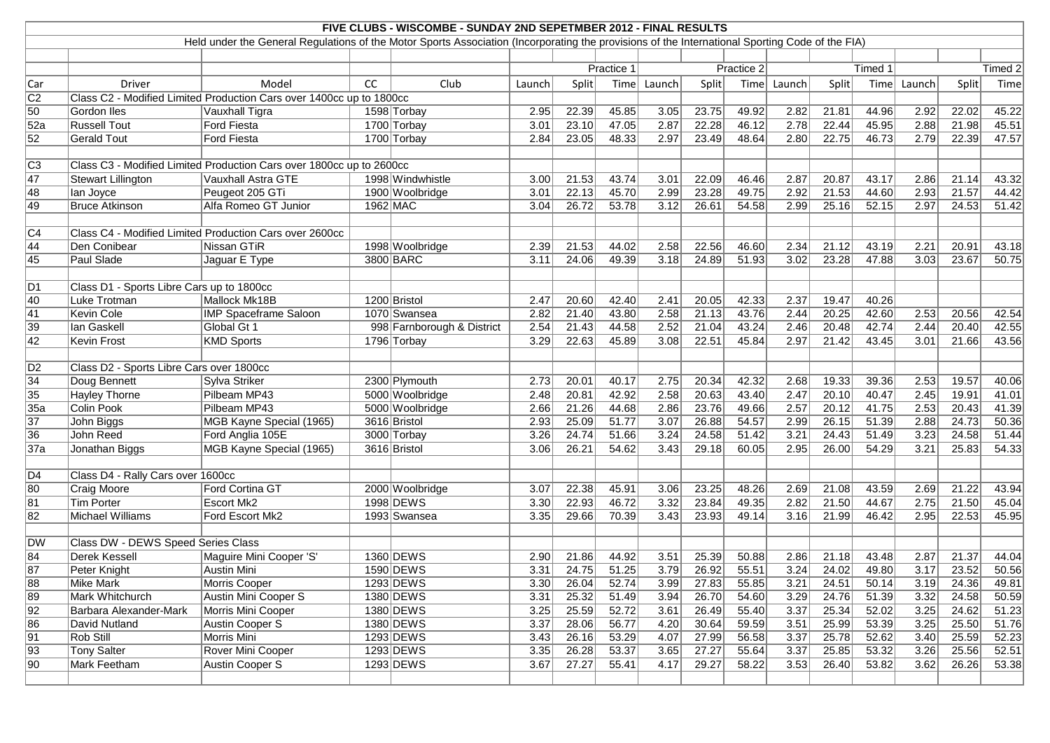|                  |                                           |                                                                                                                                                 |          | FIVE CLUBS - WISCOMBE - SUNDAY 2ND SEPETMBER 2012 - FINAL RESULTS |            |         |       |        |            |               |        |              |       |        |                 |       |
|------------------|-------------------------------------------|-------------------------------------------------------------------------------------------------------------------------------------------------|----------|-------------------------------------------------------------------|------------|---------|-------|--------|------------|---------------|--------|--------------|-------|--------|-----------------|-------|
|                  |                                           | Held under the General Regulations of the Motor Sports Association (Incorporating the provisions of the International Sporting Code of the FIA) |          |                                                                   |            |         |       |        |            |               |        |              |       |        |                 |       |
|                  |                                           |                                                                                                                                                 |          |                                                                   |            |         |       |        |            |               |        |              |       |        |                 |       |
|                  |                                           |                                                                                                                                                 |          |                                                                   | Practice 1 |         |       |        | Practice 2 |               |        | Timed 1      |       |        | Timed 2         |       |
| $ $ Car          | <b>Driver</b>                             | Model                                                                                                                                           | cc       | Club                                                              | Launch     | Split   | Time  | Launch | Split      | Time          | Launch | Split        | Time  | Launch | Split           | Time  |
| C2               |                                           | Class C2 - Modified Limited Production Cars over 1400cc up to 1800cc                                                                            |          |                                                                   |            |         |       |        |            |               |        |              |       |        |                 |       |
| $\overline{50}$  | Gordon Iles                               | Vauxhall Tigra                                                                                                                                  |          | 1598 Torbay                                                       | 2.95       | 22.39   | 45.85 | 3.05   | 23.75      | 49.92         | 2.82   | 21.81        | 44.96 | 2.92   | 22.02           | 45.22 |
| $\overline{52a}$ | <b>Russell Tout</b>                       | Ford Fiesta                                                                                                                                     |          | 1700 Torbay                                                       | 3.01       | 23.10   | 47.05 | 2.87   | 22.28      | 46.12         | 2.78   | 22.44        | 45.95 | 2.88   | 21.98           | 45.51 |
| $\overline{52}$  | Gerald Tout                               | Ford Fiesta                                                                                                                                     |          | 1700 Torbay                                                       | 2.84       | 23.05   | 48.33 | 2.97   | 23.49      | 48.64         | 2.80   | 22.75        | 46.73 | 2.79   | 22.39           | 47.57 |
|                  |                                           |                                                                                                                                                 |          |                                                                   |            |         |       |        |            |               |        |              |       |        |                 |       |
| $\overline{C3}$  |                                           | Class C3 - Modified Limited Production Cars over 1800cc up to 2600cc                                                                            |          |                                                                   |            |         |       |        |            |               |        |              |       |        |                 |       |
| $\overline{47}$  | Stewart Lillington                        | Vauxhall Astra GTE                                                                                                                              |          | 1998 Windwhistle                                                  | 3.00       | 21.53   | 43.74 | 3.01   | 22.09      | 46.46         | 2.87   | 20.87        | 43.17 | 2.86   | 21.14           | 43.32 |
| 48               | lan Joyce                                 | Peugeot 205 GTi                                                                                                                                 |          | 1900 Woolbridge                                                   | 3.01       | 22.13   | 45.70 | 2.99   | 23.28      | 49.75         | 2.92   | 21.53        | 44.60 | 2.93   | 21.57           | 44.42 |
| 49               | <b>Bruce Atkinson</b>                     | Alfa Romeo GT Junior                                                                                                                            | 1962 MAC |                                                                   | 3.04       | 26.72   | 53.78 | 3.12   | 26.61      | 54.58         | 2.99   | 25.16        | 52.15 | 2.97   | 24.53           | 51.42 |
|                  |                                           |                                                                                                                                                 |          |                                                                   |            |         |       |        |            |               |        |              |       |        |                 |       |
| C4               |                                           | Class C4 - Modified Limited Production Cars over 2600cc                                                                                         |          |                                                                   |            |         |       |        |            |               |        |              |       |        |                 |       |
| 44               | Den Conibear                              | Nissan GTiR                                                                                                                                     |          | 1998 Woolbridge                                                   | 2.39       | 21.53   | 44.02 | 2.58   | 22.56      | 46.60         | 2.34   | 21.12        | 43.19 | 2.21   | 20.91           | 43.18 |
| 45               | Paul Slade                                | Jaguar E Type                                                                                                                                   |          | 3800 BARC                                                         | 3.11       | 24.06   | 49.39 | 3.18   | 24.89      | 51.93         | 3.02   | 23.28        | 47.88 | 3.03   | 23.67           | 50.75 |
|                  |                                           |                                                                                                                                                 |          |                                                                   |            |         |       |        |            |               |        |              |       |        |                 |       |
| $\overline{D1}$  | Class D1 - Sports Libre Cars up to 1800cc |                                                                                                                                                 |          |                                                                   |            |         |       |        |            |               |        |              |       |        |                 |       |
| $\overline{40}$  | Luke Trotman                              | Mallock Mk18B                                                                                                                                   |          | 1200 Bristol                                                      | 2.47       | 20.60   | 42.40 | 2.41   | 20.05      | 42.33         | 2.37   | 19.47        | 40.26 |        |                 |       |
| 41               | Kevin Cole                                | <b>IMP Spaceframe Saloon</b>                                                                                                                    |          | 1070 Swansea                                                      | 2.82       | 21.40   | 43.80 | 2.58   | 21.13      | 43.76         | 2.44   | 20.25        | 42.60 | 2.53   | 20.56           | 42.54 |
| $\overline{39}$  | Ian Gaskell                               | Global Gt 1                                                                                                                                     |          | 998 Farnborough & District                                        | 2.54       | 21.43   | 44.58 | 2.52   | 21.04      | 43.24         | 2.46   | 20.48        | 42.74 | 2.44   | 20.40           | 42.55 |
| $\overline{42}$  | Kevin Frost                               | KMD Sports                                                                                                                                      |          | 1796 Torbay                                                       | 3.29       | 22.63   | 45.89 | 3.08   | 22.51      | 45.84         | 2.97   | 21.42        | 43.45 | 3.01   | 21.66           | 43.56 |
|                  |                                           |                                                                                                                                                 |          |                                                                   |            |         |       |        |            |               |        |              |       |        |                 |       |
| D <sub>2</sub>   | Class D2 - Sports Libre Cars over 1800cc  |                                                                                                                                                 |          |                                                                   |            |         |       |        |            |               |        |              |       |        |                 |       |
| $\overline{34}$  | Doug Bennett                              | Sylva Striker                                                                                                                                   |          | 2300 Plymouth                                                     | 2.73       | 20.01   | 40.17 | 2.75   | 20.34      | 42.32         | 2.68   | 19.33        | 39.36 | 2.53   | 19.57           | 40.06 |
| $\overline{35}$  | <b>Hayley Thorne</b>                      | Pilbeam MP43                                                                                                                                    |          | 5000 Woolbridge                                                   | 2.48       | 20.81   | 42.92 | 2.58   | 20.63      | 43.40         | 2.47   | 20.10        | 40.47 | 2.45   | 19.91           | 41.01 |
| 35a              | Colin Pook                                | Pilbeam MP43                                                                                                                                    |          | 5000 Woolbridge                                                   | 2.66       | 21.26   | 44.68 | 2.86   | 23.76      | 49.66         | 2.57   | 20.12        | 41.75 | 2.53   | 20.43           | 41.39 |
| $\overline{37}$  | John Biggs                                | MGB Kayne Special (1965)                                                                                                                        |          | 3616 Bristol                                                      | 2.93       | 25.09   | 51.77 | 3.07   | 26.88      | 54.57         | 2.99   | 26.15        | 51.39 | 2.88   | 24.73           | 50.36 |
| 36               | John Reed                                 | Ford Anglia 105E                                                                                                                                |          | 3000 Torbay                                                       | 3.26       | 24.74   | 51.66 | 3.24   | 24.58      | 51.42         | 3.21   | 24.43        | 51.49 | 3.23   | 24.58           | 51.44 |
| 37a              | Jonathan Biggs                            | MGB Kayne Special (1965)                                                                                                                        |          | 3616 Bristol                                                      | 3.06       | 26.21   | 54.62 | 3.43   | 29.18      | 60.05         | 2.95   | 26.00        | 54.29 | 3.21   | 25.83           | 54.33 |
|                  |                                           |                                                                                                                                                 |          |                                                                   |            |         |       |        |            |               |        |              |       |        |                 |       |
| D4               | Class D4 - Rally Cars over 1600cc         |                                                                                                                                                 |          |                                                                   |            |         |       |        |            |               |        |              |       |        |                 |       |
| 80               | Craig Moore                               | Ford Cortina GT                                                                                                                                 |          | 2000 Woolbridge                                                   | 3.07       | 22.38   | 45.91 | 3.06   | 23.25      | 48.26         | 2.69   | 21.08        | 43.59 | 2.69   | 21.22           | 43.94 |
| $\overline{81}$  | Tim Porter                                | <b>Escort Mk2</b>                                                                                                                               |          | 1998 DEWS                                                         | 3.30       | $22.93$ | 46.72 | 3.32   |            | $23.84$ 49.35 |        | $2.82$ 21.50 | 44.67 | 2.75   | $\boxed{21.50}$ | 45.04 |
| $\overline{82}$  | Michael Williams                          | Ford Escort Mk2                                                                                                                                 |          | 1993 Swansea                                                      | 3.35       | 29.66   | 70.39 | 3.43   | 23.93      | 49.14         | 3.16   | 21.99        | 46.42 | 2.95   | 22.53           | 45.95 |
|                  |                                           |                                                                                                                                                 |          |                                                                   |            |         |       |        |            |               |        |              |       |        |                 |       |
| DW               | <b>Class DW - DEWS Speed Series Class</b> |                                                                                                                                                 |          |                                                                   |            |         |       |        |            |               |        |              |       |        |                 |       |
| $\overline{84}$  | <b>Derek Kessell</b>                      | Maguire Mini Cooper 'S'                                                                                                                         |          | 1360 DEWS                                                         | 2.90       | 21.86   | 44.92 | 3.51   | 25.39      | 50.88         | 2.86   | 21.18        | 43.48 | 2.87   | 21.37           | 44.04 |
| $\overline{87}$  | Peter Knight                              | Austin Mini                                                                                                                                     |          | 1590 DEWS                                                         | 3.31       | 24.75   | 51.25 | 3.79   | 26.92      | 55.51         | 3.24   | 24.02        | 49.80 | 3.17   | 23.52           | 50.56 |
| 88               | Mike Mark                                 | Morris Cooper                                                                                                                                   |          | 1293 DEWS                                                         | 3.30       | 26.04   | 52.74 | 3.99   | 27.83      | 55.85         | 3.21   | 24.51        | 50.14 | 3.19   | 24.36           | 49.81 |
| 89               | Mark Whitchurch                           | Austin Mini Cooper S                                                                                                                            |          | 1380 DEWS                                                         | 3.31       | 25.32   | 51.49 | 3.94   | 26.70      | 54.60         | 3.29   | 24.76        | 51.39 | 3.32   | 24.58           | 50.59 |
| $\overline{92}$  | Barbara Alexander-Mark                    | Morris Mini Cooper                                                                                                                              |          | 1380 DEWS                                                         | 3.25       | 25.59   | 52.72 | 3.61   | 26.49      | 55.40         | 3.37   | 25.34        | 52.02 | 3.25   | 24.62           | 51.23 |
| $\overline{86}$  | David Nutland                             | Austin Cooper S                                                                                                                                 |          | 1380 DEWS                                                         | 3.37       | 28.06   | 56.77 | 4.20   | 30.64      | 59.59         | 3.51   | 25.99        | 53.39 | 3.25   | 25.50           | 51.76 |
| $\overline{91}$  | Rob Still                                 | Morris Mini                                                                                                                                     |          | 1293 DEWS                                                         | 3.43       | 26.16   | 53.29 | 4.07   | 27.99      | 56.58         | 3.37   | 25.78        | 52.62 | 3.40   | 25.59           | 52.23 |
| $\sqrt{93}$      | <b>Tony Salter</b>                        | Rover Mini Cooper                                                                                                                               |          | 1293 DEWS                                                         | 3.35       | 26.28   | 53.37 | 3.65   | 27.27      | 55.64         | 3.37   | 25.85        | 53.32 | 3.26   | 25.56           | 52.51 |
| $\overline{90}$  | Mark Feetham                              | Austin Cooper S                                                                                                                                 |          | 1293 DEWS                                                         | 3.67       | 27.27   | 55.41 | 4.17   | 29.27      | 58.22         | 3.53   | 26.40        | 53.82 | 3.62   | 26.26           | 53.38 |
|                  |                                           |                                                                                                                                                 |          |                                                                   |            |         |       |        |            |               |        |              |       |        |                 |       |